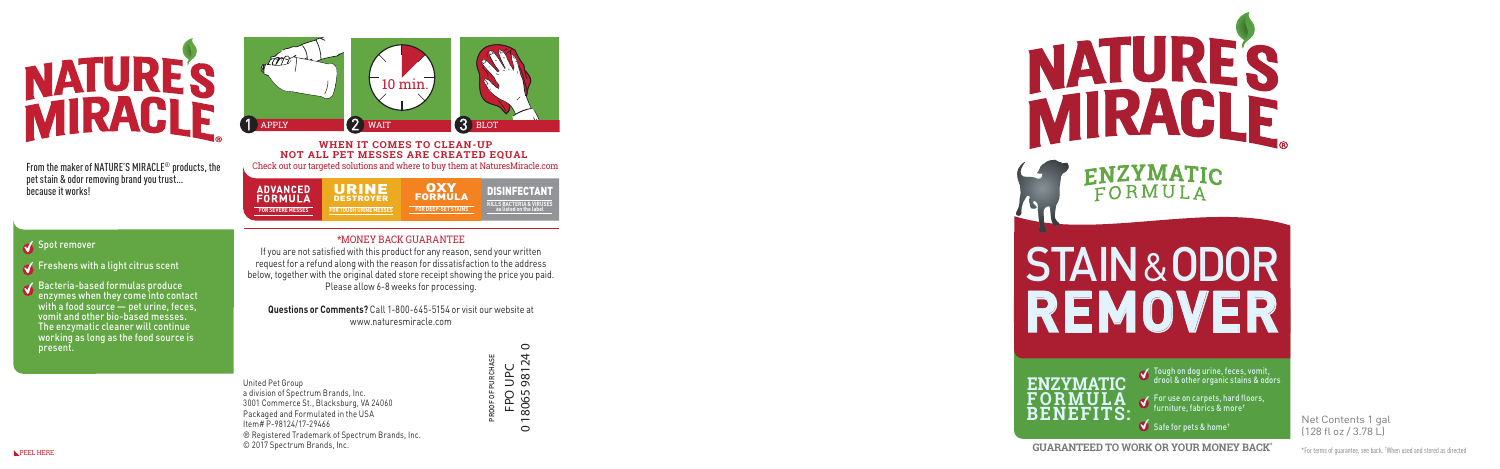Net Contents 1 gal (128 fl oz / 3.78 L)





Safe for pets & home †

For use on carpets, hard floors, furniture, fabrics & more †

Tough on dog urine, feces, vomit, drool & other organic stains & odors

\*For terms of guarantee, see back. † When used and stored as directed



From the maker of NATURE'S MIRACLE ® products, the pet stain & odor removing brand you trust… because it works!

### Spot remover

 $\triangle$  Freshens with a light citrus scent

Bacteria-based formulas produce enzymes when they come into contact with a food source — pet urine, feces, vomit and other bio-based messes. The enzymatic cleaner will continue working as long as the food source is present.

> United Pet Group a division of Spectrum Brands, Inc. 3001 Commerce St., Blacksburg, VA 24060 Packaged and Formulated in the USA Item# P-98124/17-29466 ® Registered Trademark of Spectrum Brands, Inc. © 2017 Spectrum Brands, Inc.

#### $\circ$ 0 18065 98124 0  $\overline{a}$ PROOF OF PURCHASE UPC<br>9812<sup>2</sup> FPO UPC FPO<br>18065  $\circ$



ENZYMATIC FORMULA **STAIN&ODOR**<br>REMOVER

### \*MONEY BACK GUARANTEE

If you are not satisfied with this product for any reason, send your written r e q u est for a ref u nd along with the reason for dissatisfaction to the address below, together with the original dated store receipt showing the price you paid. Please allow 6-8 weeks for processing.

**Questions or Comments?** Call 1-800-645-5154 or visit our website at www.naturesmiracle.com

**WHEN IT COMES TO CLEAN-UP NOT ALL PET MESSES ARE CREATED EQUAL**  Check out our targeted solutions and where to buy them at NaturesMiracle.com

| <b>ADVANCED</b><br><b>FORMULA</b> | URINE<br><b>DESTROYER</b>     | ОХУ<br><b>FORMULA</b>      | <b>DISINFECTANT</b><br><b>KILLS BACTERIA &amp; VIRUSES</b> |
|-----------------------------------|-------------------------------|----------------------------|------------------------------------------------------------|
| <b>FOR SEVERE MESSES</b>          | <b>FOR TOUGH URINE MESSES</b> | <b>FOR DEEP-SET STAINS</b> | as listed on the label                                     |
|                                   |                               |                            |                                                            |

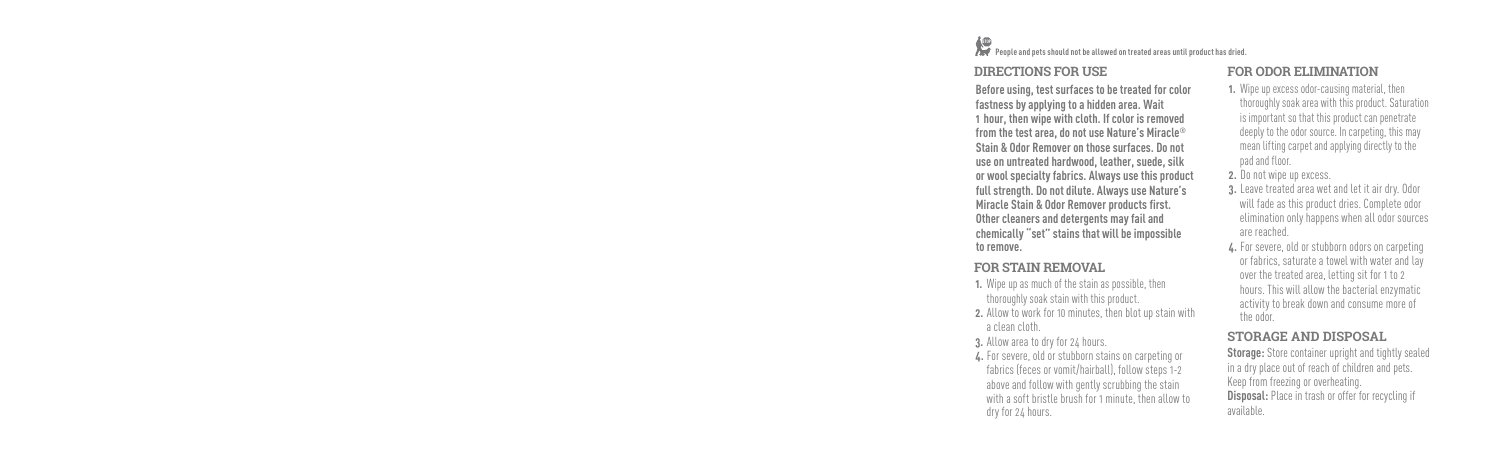# sus<br>**People and pets should not be allowed on treated areas until product has dried.**

# **DIRECTIONS FOR USE**

Before using, test surfaces to be treated for **fastness by applying to a hidden area. Wait**  1 hour, then wipe with cloth. If color is remo from the test area, do not use Nature's Mirac **Stain & Odor Remover on those surfaces. Do** use on untreated hardwood, leather, suede, **or wool specialty fabrics. Always use this product** full strength. Do not dilute. Always use Natu **Miracle Stain & Odor Remover products first. Other cleaners and detergents may fail and chemically "set" stains that will be impossible to remove.** 

# **FOR STAIN REMOVAL**

- **1.** Wipe up as much of the stain as possible, then thoroughly soak stain with this product.
- **2.** Allow to work for 10 minutes, then blot up sta a clean cloth.
- **3.** Allow area to dry for 24 hours.
- 4. For severe, old or stubborn stains on carpeting fabrics (feces or vomit/hairball), follow steps above and follow with gently scrubbing the st with a soft bristle brush for 1 minute, then all dry for 24 hours.

# **FOR ODOR ELIMINATION**

| color                | 1. Wipe up excess odor-causing material, then<br>thoroughly soak area with this product. Saturation                                                                                                                                                                |
|----------------------|--------------------------------------------------------------------------------------------------------------------------------------------------------------------------------------------------------------------------------------------------------------------|
| oved                 | is important so that this product can penetrate                                                                                                                                                                                                                    |
| $\mathsf{cle}^\circ$ | deeply to the odor source. In carpeting, this may                                                                                                                                                                                                                  |
| ) not                | mean lifting carpet and applying directly to the                                                                                                                                                                                                                   |
| silk                 | pad and floor.                                                                                                                                                                                                                                                     |
| roduct               | 2. Do not wipe up excess.                                                                                                                                                                                                                                          |
| ure's                | 3. Leave treated area wet and let it air dry. Odor                                                                                                                                                                                                                 |
| t.                   | will fade as this product dries. Complete odor                                                                                                                                                                                                                     |
|                      | elimination only happens when all odor sources                                                                                                                                                                                                                     |
| ible                 | are reached.                                                                                                                                                                                                                                                       |
| ain with             | 4. For severe, old or stubborn odors on carpeting<br>or fabrics, saturate a towel with water and lay<br>over the treated area, letting sit for 1 to 2<br>hours. This will allow the bacterial enzymatic<br>activity to break down and consume more of<br>the odor. |
|                      | <b>STORAGE AND DISPOSAL</b>                                                                                                                                                                                                                                        |
| ng or                | <b>Storage:</b> Store container upright and tightly sealed                                                                                                                                                                                                         |
| $3 - 2$              | in a dry place out of reach of children and pets.                                                                                                                                                                                                                  |
| tain                 | Keep from freezing or overheating.                                                                                                                                                                                                                                 |
| low to               | <b>Disposal:</b> Place in trash or offer for recycling if<br>available.                                                                                                                                                                                            |